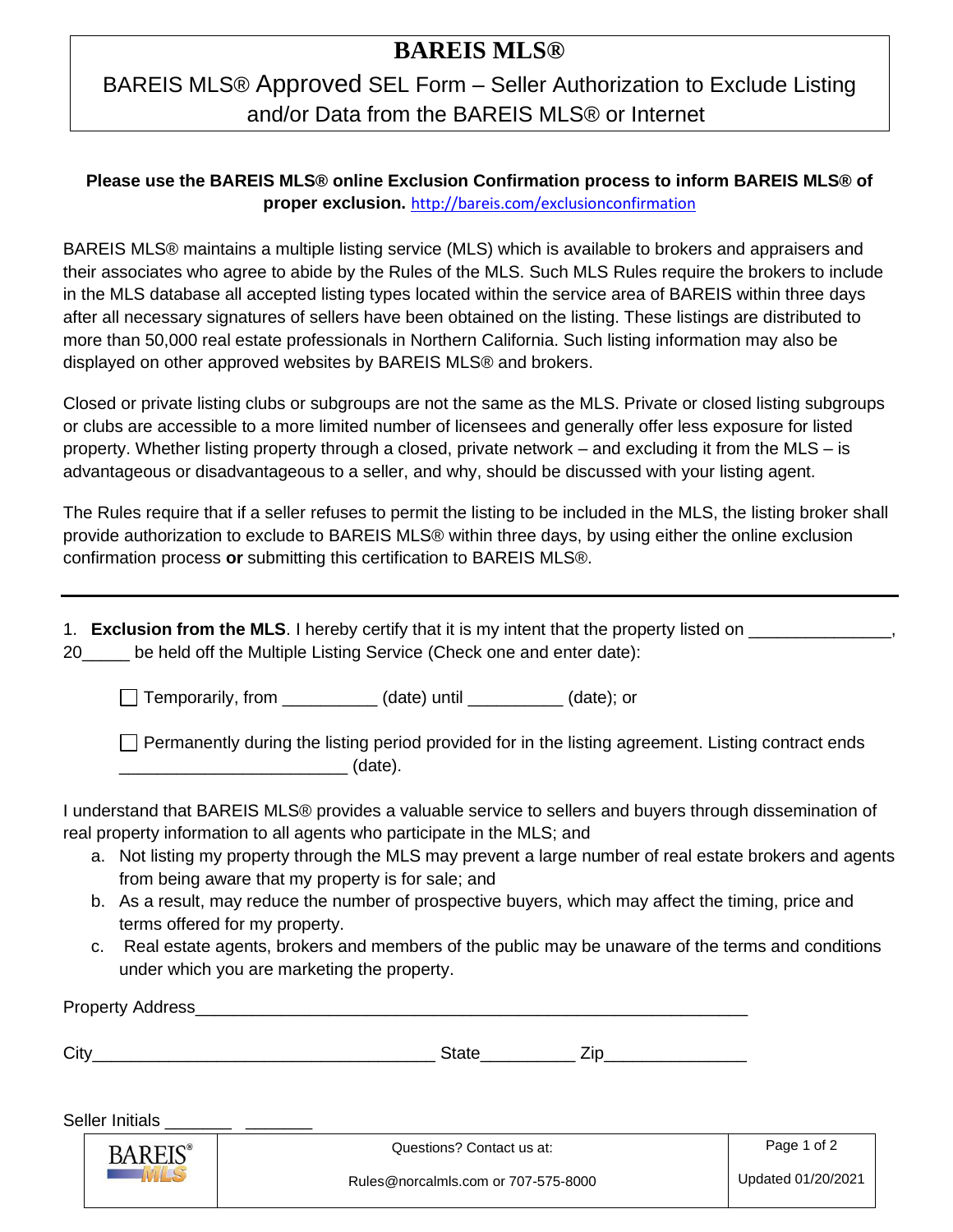## **BAREIS MLS®**

# BAREIS MLS® Approved SEL Form – Seller Authorization to Exclude Listing and/or Data from the BAREIS MLS® or Internet

#### **Please use the BAREIS MLS® online Exclusion Confirmation process to inform BAREIS MLS® of proper exclusion.** <http://bareis.com/exclusionconfirmation>

BAREIS MLS® maintains a multiple listing service (MLS) which is available to brokers and appraisers and their associates who agree to abide by the Rules of the MLS. Such MLS Rules require the brokers to include in the MLS database all accepted listing types located within the service area of BAREIS within three days after all necessary signatures of sellers have been obtained on the listing. These listings are distributed to more than 50,000 real estate professionals in Northern California. Such listing information may also be displayed on other approved websites by BAREIS MLS® and brokers.

Closed or private listing clubs or subgroups are not the same as the MLS. Private or closed listing subgroups or clubs are accessible to a more limited number of licensees and generally offer less exposure for listed property. Whether listing property through a closed, private network – and excluding it from the MLS – is advantageous or disadvantageous to a seller, and why, should be discussed with your listing agent.

The Rules require that if a seller refuses to permit the listing to be included in the MLS, the listing broker shall provide authorization to exclude to BAREIS MLS® within three days, by using either the online exclusion confirmation process **or** submitting this certification to BAREIS MLS®.

|    | 1. Exclusion from the MLS. I hereby certify that it is my intent that the property listed on |
|----|----------------------------------------------------------------------------------------------|
| 20 | be held off the Multiple Listing Service (Check one and enter date):                         |

Temporarily, from \_\_\_\_\_\_\_\_\_\_ (date) until \_\_\_\_\_\_\_\_\_\_ (date); or

 $\Box$  Permanently during the listing period provided for in the listing agreement. Listing contract ends  $_1$  (date).

I understand that BAREIS MLS® provides a valuable service to sellers and buyers through dissemination of real property information to all agents who participate in the MLS; and

- a. Not listing my property through the MLS may prevent a large number of real estate brokers and agents from being aware that my property is for sale; and
- b. As a result, may reduce the number of prospective buyers, which may affect the timing, price and terms offered for my property.
- c. Real estate agents, brokers and members of the public may be unaware of the terms and conditions under which you are marketing the property.

|      | Property Address_ |                           |             |
|------|-------------------|---------------------------|-------------|
| City |                   | <b>State</b><br>Zin.      |             |
|      | Seller Initials   |                           |             |
|      | $DADEIC^*$        | Questions? Contact us at: | Page 1 of 2 |